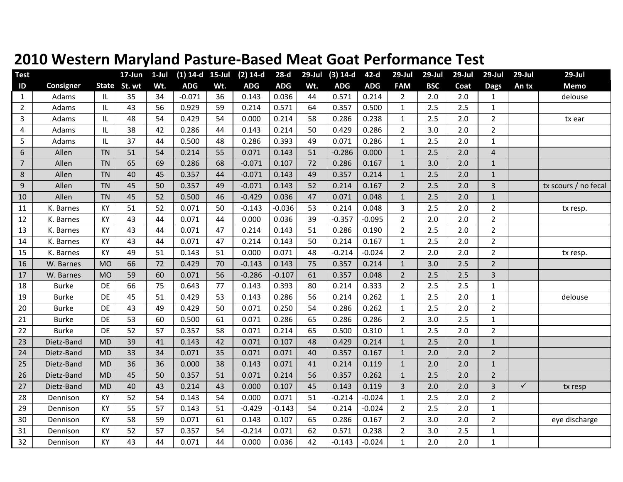| <b>Test</b>      |              |           | 17-Jun       | $1$ -Jul | $(1)$ 14-d 15-Jul |     | $(2)$ 14-d | $28-d$     | $29$ -Jul | $(3) 14-d$ | 42-d       | 29-Jul         | 29-Jul     | $29$ -Jul | $29$ -Jul               | $29$ -Jul    | $29$ -Jul            |
|------------------|--------------|-----------|--------------|----------|-------------------|-----|------------|------------|-----------|------------|------------|----------------|------------|-----------|-------------------------|--------------|----------------------|
| ID               | Consigner    |           | State St. wt | Wt.      | <b>ADG</b>        | Wt. | <b>ADG</b> | <b>ADG</b> | Wt.       | <b>ADG</b> | <b>ADG</b> | <b>FAM</b>     | <b>BSC</b> | Coat      | <b>Dags</b>             | An tx        | <b>Memo</b>          |
| 1                | Adams        | IL        | 35           | 34       | $-0.071$          | 36  | 0.143      | 0.036      | 44        | 0.571      | 0.214      | $\overline{2}$ | 2.0        | 2.0       | 1                       |              | delouse              |
| $\overline{2}$   | Adams        | IL        | 43           | 56       | 0.929             | 59  | 0.214      | 0.571      | 64        | 0.357      | 0.500      | $\mathbf{1}$   | 2.5        | 2.5       | $\mathbf{1}$            |              |                      |
| 3                | Adams        | IL        | 48           | 54       | 0.429             | 54  | 0.000      | 0.214      | 58        | 0.286      | 0.238      | $\mathbf{1}$   | 2.5        | 2.0       | $\overline{2}$          |              | tx ear               |
| 4                | Adams        | IL        | 38           | 42       | 0.286             | 44  | 0.143      | 0.214      | 50        | 0.429      | 0.286      | $\overline{2}$ | 3.0        | 2.0       | $\overline{2}$          |              |                      |
| 5                | Adams        | IL        | 37           | 44       | 0.500             | 48  | 0.286      | 0.393      | 49        | 0.071      | 0.286      | $\mathbf{1}$   | 2.5        | 2.0       | 1                       |              |                      |
| 6                | Allen        | <b>TN</b> | 51           | 54       | 0.214             | 55  | 0.071      | 0.143      | 51        | $-0.286$   | 0.000      | $\mathbf{1}$   | 2.5        | 2.0       | $\overline{\mathbf{4}}$ |              |                      |
| $\overline{7}$   | Allen        | <b>TN</b> | 65           | 69       | 0.286             | 68  | $-0.071$   | 0.107      | 72        | 0.286      | 0.167      | $\mathbf{1}$   | 3.0        | 2.0       | $\mathbf{1}$            |              |                      |
| $\,8$            | Allen        | <b>TN</b> | 40           | 45       | 0.357             | 44  | $-0.071$   | 0.143      | 49        | 0.357      | 0.214      | $\mathbf{1}$   | 2.5        | 2.0       | $\mathbf{1}$            |              |                      |
| $\boldsymbol{9}$ | Allen        | <b>TN</b> | 45           | 50       | 0.357             | 49  | $-0.071$   | 0.143      | 52        | 0.214      | 0.167      | $\overline{2}$ | 2.5        | 2.0       | 3                       |              | tx scours / no fecal |
| 10               | Allen        | <b>TN</b> | 45           | 52       | 0.500             | 46  | $-0.429$   | 0.036      | 47        | 0.071      | 0.048      | $\mathbf{1}$   | 2.5        | 2.0       | $\mathbf{1}$            |              |                      |
| 11               | K. Barnes    | <b>KY</b> | 51           | 52       | 0.071             | 50  | $-0.143$   | $-0.036$   | 53        | 0.214      | 0.048      | $\overline{3}$ | 2.5        | 2.0       | $\overline{2}$          |              | tx resp.             |
| 12               | K. Barnes    | <b>KY</b> | 43           | 44       | 0.071             | 44  | 0.000      | 0.036      | 39        | $-0.357$   | $-0.095$   | $2^{\circ}$    | 2.0        | 2.0       | $\overline{2}$          |              |                      |
| 13               | K. Barnes    | KY        | 43           | 44       | 0.071             | 47  | 0.214      | 0.143      | 51        | 0.286      | 0.190      | $\overline{2}$ | 2.5        | 2.0       | $\overline{2}$          |              |                      |
| 14               | K. Barnes    | KY        | 43           | 44       | 0.071             | 47  | 0.214      | 0.143      | 50        | 0.214      | 0.167      | $\mathbf{1}$   | 2.5        | 2.0       | $\overline{2}$          |              |                      |
| 15               | K. Barnes    | <b>KY</b> | 49           | 51       | 0.143             | 51  | 0.000      | 0.071      | 48        | $-0.214$   | $-0.024$   | $\overline{2}$ | 2.0        | 2.0       | $\overline{2}$          |              | tx resp.             |
| 16               | W. Barnes    | <b>MO</b> | 66           | 72       | 0.429             | 70  | $-0.143$   | 0.143      | 75        | 0.357      | 0.214      | $\mathbf{1}$   | 3.0        | 2.5       | $\overline{2}$          |              |                      |
| 17               | W. Barnes    | <b>MO</b> | 59           | 60       | 0.071             | 56  | $-0.286$   | $-0.107$   | 61        | 0.357      | 0.048      | $2^{\circ}$    | 2.5        | 2.5       | 3                       |              |                      |
| 18               | <b>Burke</b> | DE        | 66           | 75       | 0.643             | 77  | 0.143      | 0.393      | 80        | 0.214      | 0.333      | $\overline{2}$ | 2.5        | 2.5       | 1                       |              |                      |
| 19               | <b>Burke</b> | DE        | 45           | 51       | 0.429             | 53  | 0.143      | 0.286      | 56        | 0.214      | 0.262      | $\mathbf{1}$   | 2.5        | 2.0       | 1                       |              | delouse              |
| 20               | <b>Burke</b> | DE        | 43           | 49       | 0.429             | 50  | 0.071      | 0.250      | 54        | 0.286      | 0.262      | $\mathbf{1}$   | 2.5        | 2.0       | $\overline{2}$          |              |                      |
| 21               | <b>Burke</b> | <b>DE</b> | 53           | 60       | 0.500             | 61  | 0.071      | 0.286      | 65        | 0.286      | 0.286      | $\overline{2}$ | 3.0        | 2.5       | $\mathbf{1}$            |              |                      |
| 22               | <b>Burke</b> | DE        | 52           | 57       | 0.357             | 58  | 0.071      | 0.214      | 65        | 0.500      | 0.310      | $\mathbf{1}$   | 2.5        | 2.0       | $\overline{2}$          |              |                      |
| 23               | Dietz-Band   | <b>MD</b> | 39           | 41       | 0.143             | 42  | 0.071      | 0.107      | 48        | 0.429      | 0.214      | $\mathbf{1}$   | 2.5        | 2.0       | $\mathbf 1$             |              |                      |
| 24               | Dietz-Band   | <b>MD</b> | 33           | 34       | 0.071             | 35  | 0.071      | 0.071      | 40        | 0.357      | 0.167      | $\mathbf{1}$   | 2.0        | 2.0       | $\overline{2}$          |              |                      |
| 25               | Dietz-Band   | <b>MD</b> | 36           | 36       | 0.000             | 38  | 0.143      | 0.071      | 41        | 0.214      | 0.119      | $\mathbf{1}$   | 2.0        | 2.0       | $\mathbf{1}$            |              |                      |
| 26               | Dietz-Band   | <b>MD</b> | 45           | 50       | 0.357             | 51  | 0.071      | 0.214      | 56        | 0.357      | 0.262      | $\mathbf{1}$   | 2.5        | 2.0       | $\overline{2}$          |              |                      |
| 27               | Dietz-Band   | <b>MD</b> | 40           | 43       | 0.214             | 43  | 0.000      | 0.107      | 45        | 0.143      | 0.119      | $\overline{3}$ | 2.0        | 2.0       | 3                       | $\checkmark$ | tx resp              |
| 28               | Dennison     | KY        | 52           | 54       | 0.143             | 54  | 0.000      | 0.071      | 51        | $-0.214$   | $-0.024$   | $\mathbf{1}$   | 2.5        | 2.0       | $\overline{2}$          |              |                      |
| 29               | Dennison     | KY        | 55           | 57       | 0.143             | 51  | $-0.429$   | $-0.143$   | 54        | 0.214      | $-0.024$   | $\overline{2}$ | 2.5        | 2.0       | $\mathbf{1}$            |              |                      |
| 30               | Dennison     | <b>KY</b> | 58           | 59       | 0.071             | 61  | 0.143      | 0.107      | 65        | 0.286      | 0.167      | $\overline{2}$ | 3.0        | 2.0       | $\overline{2}$          |              | eye discharge        |
| 31               | Dennison     | KY        | 52           | 57       | 0.357             | 54  | $-0.214$   | 0.071      | 62        | 0.571      | 0.238      | $\overline{2}$ | 3.0        | 2.5       | $\mathbf{1}$            |              |                      |
| 32               | Dennison     | KY        | 43           | 44       | 0.071             | 44  | 0.000      | 0.036      | 42        | $-0.143$   | $-0.024$   | $\mathbf{1}$   | 2.0        | 2.0       | $\mathbf{1}$            |              |                      |

## **2010 Western Maryland Pasture‐Based Meat Goat Performance Test**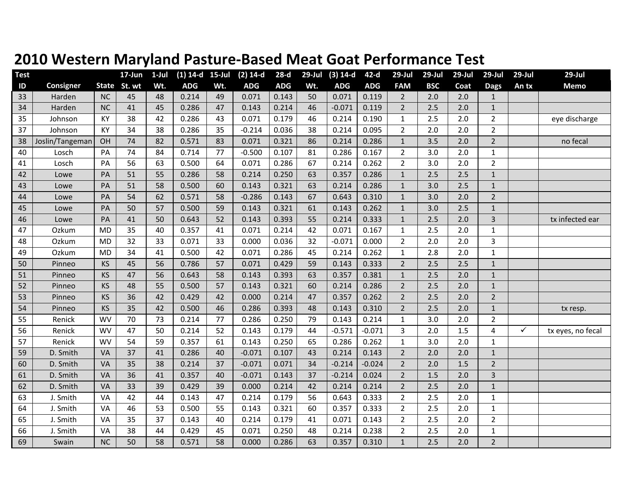| <b>Test</b>   |                 |           | 17-Jun       | $1$ -Jul | $(1)$ 14-d 15-Jul |     | $(2)$ 14-d | $28-d$     | $29$ -Jul | $(3) 14-d$ | $42-d$     | $29$ -Jul      | 29-Jul     | $29$ -Jul | $29$ -Jul      | $29$ -Jul    | $29$ -Jul         |
|---------------|-----------------|-----------|--------------|----------|-------------------|-----|------------|------------|-----------|------------|------------|----------------|------------|-----------|----------------|--------------|-------------------|
| $\mathsf{ID}$ | Consigner       |           | State St. wt | Wt.      | <b>ADG</b>        | Wt. | <b>ADG</b> | <b>ADG</b> | Wt.       | <b>ADG</b> | <b>ADG</b> | <b>FAM</b>     | <b>BSC</b> | Coat      | <b>Dags</b>    | An tx        | <b>Memo</b>       |
| 33            | Harden          | <b>NC</b> | 45           | 48       | 0.214             | 49  | 0.071      | 0.143      | 50        | 0.071      | 0.119      | $\overline{2}$ | 2.0        | 2.0       | $\mathbf{1}$   |              |                   |
| 34            | Harden          | <b>NC</b> | 41           | 45       | 0.286             | 47  | 0.143      | 0.214      | 46        | $-0.071$   | 0.119      | $\overline{2}$ | 2.5        | 2.0       | $\mathbf{1}$   |              |                   |
| 35            | Johnson         | KY        | 38           | 42       | 0.286             | 43  | 0.071      | 0.179      | 46        | 0.214      | 0.190      | $\mathbf{1}$   | 2.5        | 2.0       | $\overline{2}$ |              | eye discharge     |
| 37            | Johnson         | KY        | 34           | 38       | 0.286             | 35  | $-0.214$   | 0.036      | 38        | 0.214      | 0.095      | $\overline{2}$ | 2.0        | 2.0       | $\overline{2}$ |              |                   |
| 38            | Joslin/Tangeman | OH        | 74           | 82       | 0.571             | 83  | 0.071      | 0.321      | 86        | 0.214      | 0.286      | $\mathbf{1}$   | 3.5        | 2.0       | $\overline{2}$ |              | no fecal          |
| 40            | Losch           | PA        | 74           | 84       | 0.714             | 77  | $-0.500$   | 0.107      | 81        | 0.286      | 0.167      | $\overline{2}$ | 3.0        | 2.0       | $\mathbf{1}$   |              |                   |
| 41            | Losch           | PA        | 56           | 63       | 0.500             | 64  | 0.071      | 0.286      | 67        | 0.214      | 0.262      | $\overline{2}$ | 3.0        | 2.0       | $\overline{2}$ |              |                   |
| 42            | Lowe            | PA        | 51           | 55       | 0.286             | 58  | 0.214      | 0.250      | 63        | 0.357      | 0.286      | $\mathbf{1}$   | 2.5        | 2.5       | $\mathbf{1}$   |              |                   |
| 43            | Lowe            | PA        | 51           | 58       | 0.500             | 60  | 0.143      | 0.321      | 63        | 0.214      | 0.286      | $\mathbf{1}$   | 3.0        | 2.5       | $\mathbf{1}$   |              |                   |
| 44            | Lowe            | PA        | 54           | 62       | 0.571             | 58  | $-0.286$   | 0.143      | 67        | 0.643      | 0.310      | $\mathbf{1}$   | 3.0        | 2.0       | $\overline{2}$ |              |                   |
| 45            | Lowe            | PA        | 50           | 57       | 0.500             | 59  | 0.143      | 0.321      | 61        | 0.143      | 0.262      | $\mathbf{1}$   | 3.0        | 2.5       | $\mathbf{1}$   |              |                   |
| 46            | Lowe            | PA        | 41           | 50       | 0.643             | 52  | 0.143      | 0.393      | 55        | 0.214      | 0.333      | $\mathbf{1}$   | 2.5        | 2.0       | 3              |              | tx infected ear   |
| 47            | Ozkum           | <b>MD</b> | 35           | 40       | 0.357             | 41  | 0.071      | 0.214      | 42        | 0.071      | 0.167      | $\mathbf 1$    | 2.5        | 2.0       | 1              |              |                   |
| 48            | Ozkum           | <b>MD</b> | 32           | 33       | 0.071             | 33  | 0.000      | 0.036      | 32        | $-0.071$   | 0.000      | $\overline{2}$ | 2.0        | 2.0       | 3              |              |                   |
| 49            | Ozkum           | <b>MD</b> | 34           | 41       | 0.500             | 42  | 0.071      | 0.286      | 45        | 0.214      | 0.262      | $\mathbf{1}$   | 2.8        | 2.0       | $\mathbf 1$    |              |                   |
| 50            | Pinneo          | <b>KS</b> | 45           | 56       | 0.786             | 57  | 0.071      | 0.429      | 59        | 0.143      | 0.333      | $2^{\circ}$    | 2.5        | 2.5       | $\mathbf{1}$   |              |                   |
| 51            | Pinneo          | <b>KS</b> | 47           | 56       | 0.643             | 58  | 0.143      | 0.393      | 63        | 0.357      | 0.381      | $\mathbf{1}$   | 2.5        | 2.0       | $\mathbf{1}$   |              |                   |
| 52            | Pinneo          | <b>KS</b> | 48           | 55       | 0.500             | 57  | 0.143      | 0.321      | 60        | 0.214      | 0.286      | $\overline{2}$ | 2.5        | 2.0       | $\mathbf{1}$   |              |                   |
| 53            | Pinneo          | <b>KS</b> | 36           | 42       | 0.429             | 42  | 0.000      | 0.214      | 47        | 0.357      | 0.262      | $\overline{2}$ | 2.5        | 2.0       | $\overline{2}$ |              |                   |
| 54            | Pinneo          | <b>KS</b> | 35           | 42       | 0.500             | 46  | 0.286      | 0.393      | 48        | 0.143      | 0.310      | $\overline{2}$ | 2.5        | 2.0       | $\mathbf{1}$   |              | tx resp.          |
| 55            | Renick          | <b>WV</b> | 70           | 73       | 0.214             | 77  | 0.286      | 0.250      | 79        | 0.143      | 0.214      | $\mathbf{1}$   | 3.0        | 2.0       | $\overline{2}$ |              |                   |
| 56            | Renick          | <b>WV</b> | 47           | 50       | 0.214             | 52  | 0.143      | 0.179      | 44        | $-0.571$   | $-0.071$   | 3              | 2.0        | 1.5       | 4              | $\checkmark$ | tx eyes, no fecal |
| 57            | Renick          | <b>WV</b> | 54           | 59       | 0.357             | 61  | 0.143      | 0.250      | 65        | 0.286      | 0.262      | $\mathbf{1}$   | 3.0        | 2.0       | $\mathbf{1}$   |              |                   |
| 59            | D. Smith        | VA        | 37           | 41       | 0.286             | 40  | $-0.071$   | 0.107      | 43        | 0.214      | 0.143      | $\overline{2}$ | 2.0        | 2.0       | $\mathbf{1}$   |              |                   |
| 60            | D. Smith        | VA        | 35           | 38       | 0.214             | 37  | $-0.071$   | 0.071      | 34        | $-0.214$   | $-0.024$   | $\overline{2}$ | 2.0        | 1.5       | $\overline{2}$ |              |                   |
| 61            | D. Smith        | VA        | 36           | 41       | 0.357             | 40  | $-0.071$   | 0.143      | 37        | $-0.214$   | 0.024      | $\overline{2}$ | 1.5        | 2.0       | 3              |              |                   |
| 62            | D. Smith        | VA        | 33           | 39       | 0.429             | 39  | 0.000      | 0.214      | 42        | 0.214      | 0.214      | $2^{\circ}$    | 2.5        | 2.0       | $\mathbf{1}$   |              |                   |
| 63            | J. Smith        | VA        | 42           | 44       | 0.143             | 47  | 0.214      | 0.179      | 56        | 0.643      | 0.333      | $\overline{2}$ | 2.5        | 2.0       | $\mathbf{1}$   |              |                   |
| 64            | J. Smith        | VA        | 46           | 53       | 0.500             | 55  | 0.143      | 0.321      | 60        | 0.357      | 0.333      | $\overline{2}$ | 2.5        | 2.0       | $\mathbf{1}$   |              |                   |
| 65            | J. Smith        | VA        | 35           | 37       | 0.143             | 40  | 0.214      | 0.179      | 41        | 0.071      | 0.143      | $\overline{2}$ | 2.5        | 2.0       | $\overline{2}$ |              |                   |
| 66            | J. Smith        | VA        | 38           | 44       | 0.429             | 45  | 0.071      | 0.250      | 48        | 0.214      | 0.238      | $\overline{2}$ | 2.5        | 2.0       | $\mathbf{1}$   |              |                   |
| 69            | Swain           | <b>NC</b> | 50           | 58       | 0.571             | 58  | 0.000      | 0.286      | 63        | 0.357      | 0.310      | $\mathbf{1}$   | 2.5        | 2.0       | $\overline{2}$ |              |                   |

## **2010 Western Maryland Pasture‐Based Meat Goat Performance Test**